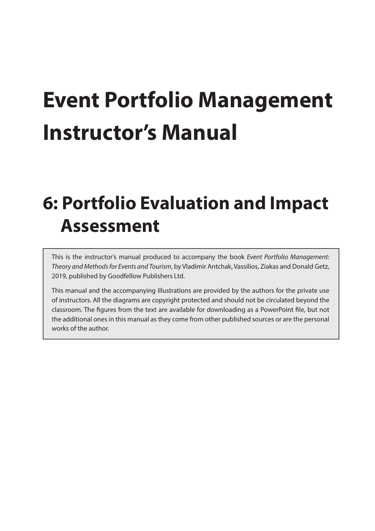# **Event Portfolio Management Instructor's Manual**

# **6: Portfolio Evaluation and Impact Assessment**

This is the instructor's manual produced to accompany the book *Event Portfolio Management: Theory and Methods for Events and Tourism*, by Vladimir Antchak, Vassilios, Ziakas and Donald Getz, 2019, published by Goodfellow Publishers Ltd.

This manual and the accompanying illustrations are provided by the authors for the private use of instructors. All the diagrams are copyright protected and should not be circulated beyond the classroom. The figures from the text are available for downloading as a PowerPoint file, but not the additional ones in this manual as they come from other published sources or are the personal works of the author.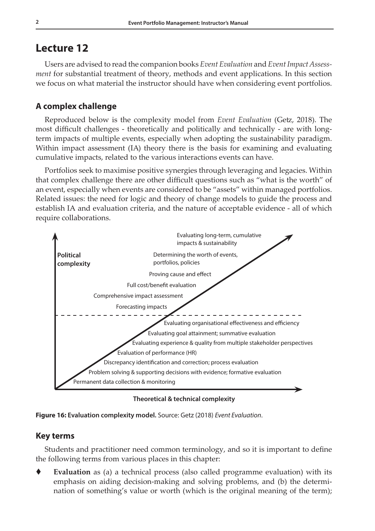# **Lecture 12**

Users are advised to read the companion books *Event Evaluation* and *Event Impact Assessment* for substantial treatment of theory, methods and event applications. In this section we focus on what material the instructor should have when considering event portfolios.

# **A complex challenge**

Reproduced below is the complexity model from *Event Evaluation* (Getz, 2018). The most difficult challenges - theoretically and politically and technically - are with longterm impacts of multiple events, especially when adopting the sustainability paradigm. Within impact assessment (IA) theory there is the basis for examining and evaluating cumulative impacts, related to the various interactions events can have.

Portfolios seek to maximise positive synergies through leveraging and legacies. Within that complex challenge there are other difficult questions such as "what is the worth" of an event, especially when events are considered to be "assets" within managed portfolios. Related issues: the need for logic and theory of change models to guide the process and establish IA and evaluation criteria, and the nature of acceptable evidence - all of which require collaborations.



**Theoretical & technical complexity**



### **Key terms**

Students and practitioner need common terminology, and so it is important to define the following terms from various places in this chapter:

 **Evaluation** as (a) a technical process (also called programme evaluation) with its emphasis on aiding decision-making and solving problems, and (b) the determination of something's value or worth (which is the original meaning of the term);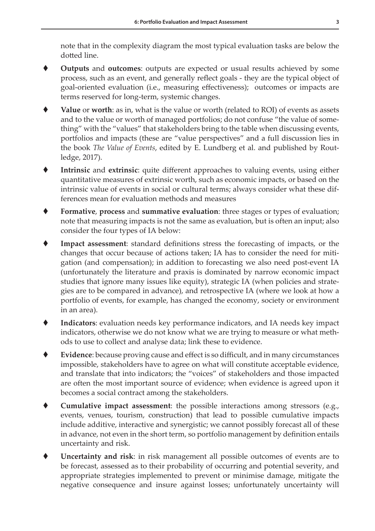note that in the complexity diagram the most typical evaluation tasks are below the dotted line.

- **Outputs** and **outcomes**: outputs are expected or usual results achieved by some process, such as an event, and generally reflect goals - they are the typical object of goal-oriented evaluation (i.e., measuring effectiveness); outcomes or impacts are terms reserved for long-term, systemic changes.
- **Value** or **worth**: as in, what is the value or worth (related to ROI) of events as assets and to the value or worth of managed portfolios; do not confuse "the value of something" with the "values" that stakeholders bring to the table when discussing events, portfolios and impacts (these are "value perspectives" and a full discussion lies in the book *The Value of Events*, edited by E. Lundberg et al. and published by Routledge, 2017).
- **Intrinsic** and **extrinsic**: quite different approaches to valuing events, using either quantitative measures of extrinsic worth, such as economic impacts, or based on the intrinsic value of events in social or cultural terms; always consider what these differences mean for evaluation methods and measures
- **Formative**, **process** and **summative evaluation**: three stages or types of evaluation; note that measuring impacts is not the same as evaluation, but is often an input; also consider the four types of IA below:
- **Impact assessment**: standard definitions stress the forecasting of impacts, or the changes that occur because of actions taken; IA has to consider the need for mitigation (and compensation); in addition to forecasting we also need post-event IA (unfortunately the literature and praxis is dominated by narrow economic impact studies that ignore many issues like equity), strategic IA (when policies and strategies are to be compared in advance), and retrospective IA (where we look at how a portfolio of events, for example, has changed the economy, society or environment in an area).
- **Indicators**: evaluation needs key performance indicators, and IA needs key impact indicators, otherwise we do not know what we are trying to measure or what methods to use to collect and analyse data; link these to evidence.
- **Evidence**: because proving cause and effect is so difficult, and in many circumstances impossible, stakeholders have to agree on what will constitute acceptable evidence, and translate that into indicators; the "voices" of stakeholders and those impacted are often the most important source of evidence; when evidence is agreed upon it becomes a social contract among the stakeholders.
- **Cumulative impact assessment**: the possible interactions among stressors (e.g., events, venues, tourism, construction) that lead to possible cumulative impacts include additive, interactive and synergistic; we cannot possibly forecast all of these in advance, not even in the short term, so portfolio management by definition entails uncertainty and risk.
- **Uncertainty and risk**: in risk management all possible outcomes of events are to be forecast, assessed as to their probability of occurring and potential severity, and appropriate strategies implemented to prevent or minimise damage, mitigate the negative consequence and insure against losses; unfortunately uncertainty will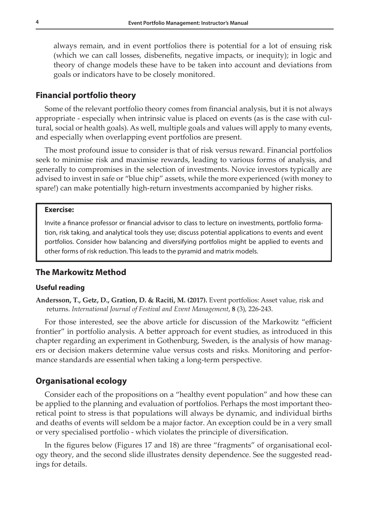always remain, and in event portfolios there is potential for a lot of ensuing risk (which we can call losses, disbenefits, negative impacts, or inequity); in logic and theory of change models these have to be taken into account and deviations from goals or indicators have to be closely monitored.

#### **Financial portfolio theory**

Some of the relevant portfolio theory comes from financial analysis, but it is not always appropriate - especially when intrinsic value is placed on events (as is the case with cultural, social or health goals). As well, multiple goals and values will apply to many events, and especially when overlapping event portfolios are present.

The most profound issue to consider is that of risk versus reward. Financial portfolios seek to minimise risk and maximise rewards, leading to various forms of analysis, and generally to compromises in the selection of investments. Novice investors typically are advised to invest in safe or "blue chip" assets, while the more experienced (with money to spare!) can make potentially high-return investments accompanied by higher risks.

#### **Exercise:**

Invite a finance professor or financial advisor to class to lecture on investments, portfolio formation, risk taking, and analytical tools they use; discuss potential applications to events and event portfolios. Consider how balancing and diversifying portfolios might be applied to events and other forms of risk reduction. This leads to the pyramid and matrix models.

#### **The Markowitz Method**

#### **Useful reading**

**Andersson, T., Getz, D., Gration, D. & Raciti, M. (2017).** Event portfolios: Asset value, risk and returns. *International Journal of Festival and Event Management*, **8** (3), 226-243.

For those interested, see the above article for discussion of the Markowitz "efficient frontier" in portfolio analysis. A better approach for event studies, as introduced in this chapter regarding an experiment in Gothenburg, Sweden, is the analysis of how managers or decision makers determine value versus costs and risks. Monitoring and performance standards are essential when taking a long-term perspective.

#### **Organisational ecology**

Consider each of the propositions on a "healthy event population" and how these can be applied to the planning and evaluation of portfolios. Perhaps the most important theoretical point to stress is that populations will always be dynamic, and individual births and deaths of events will seldom be a major factor. An exception could be in a very small or very specialised portfolio - which violates the principle of diversification.

In the figures below (Figures 17 and 18) are three "fragments" of organisational ecology theory, and the second slide illustrates density dependence. See the suggested readings for details.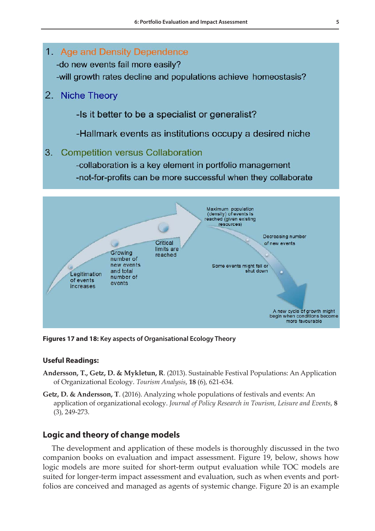

**Figures 17 and 18: Key aspects of Organisational Ecology Theory**

#### **Useful Readings:**

- **Andersson, T., Getz, D. & Mykletun, R**. (2013). Sustainable Festival Populations: An Application of Organizational Ecology. *Tourism Analysis*, **18** (6), 621-634.
- **Getz, D. & Andersson, T**. (2016). Analyzing whole populations of festivals and events: An application of organizational ecology. *Journal of Policy Research in Tourism, Leisure and Events*, **8** (3), 249-273.

#### **Logic and theory of change models**

The development and application of these models is thoroughly discussed in the two companion books on evaluation and impact assessment. Figure 19, below, shows how logic models are more suited for short-term output evaluation while TOC models are suited for longer-term impact assessment and evaluation, such as when events and portfolios are conceived and managed as agents of systemic change. Figure 20 is an example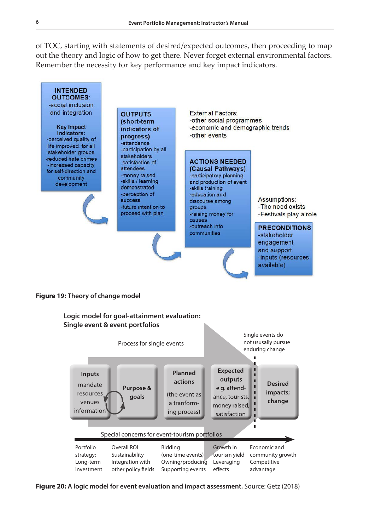of TOC, starting with statements of desired/expected outcomes, then proceeding to map out the theory and logic of how to get there. Never forget external environmental factors. Remember the necessity for key performance and key impact indicators.



#### **Figure 19: Theory of change model**



**Figure 20: A logic model for event evaluation and impact assessment.** Source: Getz (2018)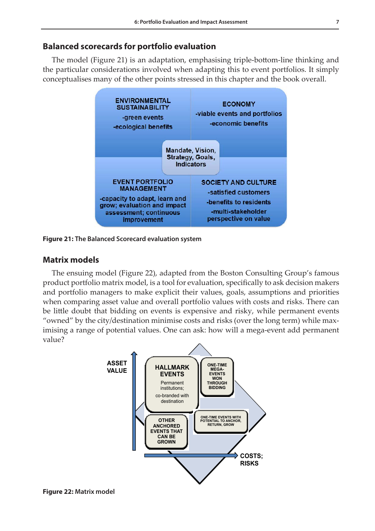## **Balanced scorecards for portfolio evaluation**

The model (Figure 21) is an adaptation, emphasising triple-bottom-line thinking and the particular considerations involved when adapting this to event portfolios. It simply conceptualises many of the other points stressed in this chapter and the book overall.



**Figure 21: The Balanced Scorecard evaluation system**

# **Matrix models**

The ensuing model (Figure 22), adapted from the Boston Consulting Group's famous product portfolio matrix model, is a tool for evaluation, specifically to ask decision makers and portfolio managers to make explicit their values, goals, assumptions and priorities when comparing asset value and overall portfolio values with costs and risks. There can be little doubt that bidding on events is expensive and risky, while permanent events "owned" by the city/destination minimise costs and risks (over the long term) while maximising a range of potential values. One can ask: how will a mega-event add permanent value?

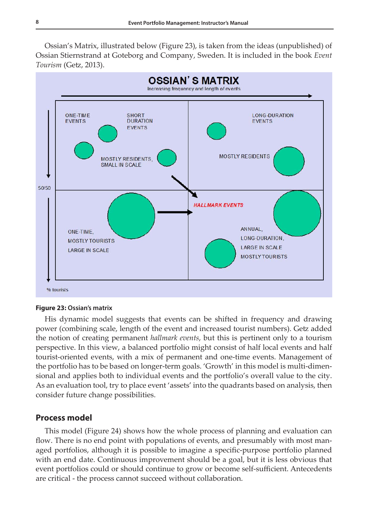Ossian's Matrix, illustrated below (Figure 23), is taken from the ideas (unpublished) of Ossian Stiernstrand at Goteborg and Company, Sweden. It is included in the book *Event Tourism* (Getz, 2013).



#### **Figure 23: Ossian's matrix**

His dynamic model suggests that events can be shifted in frequency and drawing power (combining scale, length of the event and increased tourist numbers). Getz added the notion of creating permanent *hallmark events*, but this is pertinent only to a tourism perspective. In this view, a balanced portfolio might consist of half local events and half tourist-oriented events, with a mix of permanent and one-time events. Management of the portfolio has to be based on longer-term goals. 'Growth' in this model is multi-dimensional and applies both to individual events and the portfolio's overall value to the city. As an evaluation tool, try to place event 'assets' into the quadrants based on analysis, then consider future change possibilities.

#### **Process model**

This model (Figure 24) shows how the whole process of planning and evaluation can flow. There is no end point with populations of events, and presumably with most managed portfolios, although it is possible to imagine a specific-purpose portfolio planned with an end date. Continuous improvement should be a goal, but it is less obvious that event portfolios could or should continue to grow or become self-sufficient. Antecedents are critical - the process cannot succeed without collaboration.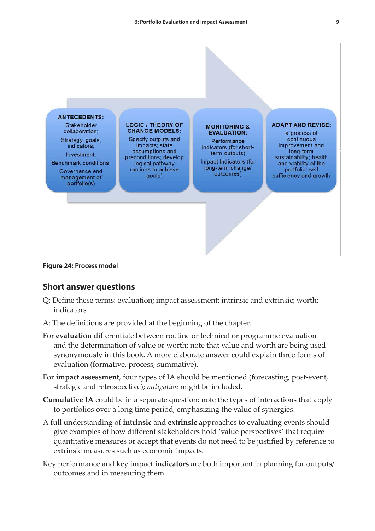

#### **Figure 24: Process model**

#### **Short answer questions**

- Q: Define these terms: evaluation; impact assessment; intrinsic and extrinsic; worth; indicators
- A: The definitions are provided at the beginning of the chapter.
- For **evaluation** differentiate between routine or technical or programme evaluation and the determination of value or worth; note that value and worth are being used synonymously in this book. A more elaborate answer could explain three forms of evaluation (formative, process, summative).
- For **impact assessment**, four types of IA should be mentioned (forecasting, post-event, strategic and retrospective); *mitigation* might be included.
- **Cumulative IA** could be in a separate question: note the types of interactions that apply to portfolios over a long time period, emphasizing the value of synergies.
- A full understanding of **intrinsic** and **extrinsic** approaches to evaluating events should give examples of how different stakeholders hold 'value perspectives' that require quantitative measures or accept that events do not need to be justified by reference to extrinsic measures such as economic impacts.
- Key performance and key impact **indicators** are both important in planning for outputs/ outcomes and in measuring them.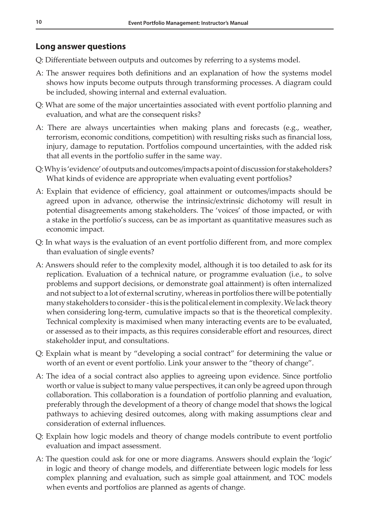# **Long answer questions**

- Q: Differentiate between outputs and outcomes by referring to a systems model.
- A: The answer requires both definitions and an explanation of how the systems model shows how inputs become outputs through transforming processes. A diagram could be included, showing internal and external evaluation.
- Q: What are some of the major uncertainties associated with event portfolio planning and evaluation, and what are the consequent risks?
- A: There are always uncertainties when making plans and forecasts (e.g., weather, terrorism, economic conditions, competition) with resulting risks such as financial loss, injury, damage to reputation. Portfolios compound uncertainties, with the added risk that all events in the portfolio suffer in the same way.
- Q: Why is 'evidence' of outputs and outcomes/impacts a point of discussion for stakeholders? What kinds of evidence are appropriate when evaluating event portfolios?
- A: Explain that evidence of efficiency, goal attainment or outcomes/impacts should be agreed upon in advance, otherwise the intrinsic/extrinsic dichotomy will result in potential disagreements among stakeholders. The 'voices' of those impacted, or with a stake in the portfolio's success, can be as important as quantitative measures such as economic impact.
- Q: In what ways is the evaluation of an event portfolio different from, and more complex than evaluation of single events?
- A: Answers should refer to the complexity model, although it is too detailed to ask for its replication. Evaluation of a technical nature, or programme evaluation (i.e., to solve problems and support decisions, or demonstrate goal attainment) is often internalized and not subject to a lot of external scrutiny, whereas in portfolios there will be potentially many stakeholders to consider - this is the political element in complexity. We lack theory when considering long-term, cumulative impacts so that is the theoretical complexity. Technical complexity is maximised when many interacting events are to be evaluated, or assessed as to their impacts, as this requires considerable effort and resources, direct stakeholder input, and consultations.
- Q: Explain what is meant by "developing a social contract" for determining the value or worth of an event or event portfolio. Link your answer to the "theory of change".
- A: The idea of a social contract also applies to agreeing upon evidence. Since portfolio worth or value is subject to many value perspectives, it can only be agreed upon through collaboration. This collaboration is a foundation of portfolio planning and evaluation, preferably through the development of a theory of change model that shows the logical pathways to achieving desired outcomes, along with making assumptions clear and consideration of external influences.
- Q: Explain how logic models and theory of change models contribute to event portfolio evaluation and impact assessment.
- A: The question could ask for one or more diagrams. Answers should explain the 'logic' in logic and theory of change models, and differentiate between logic models for less complex planning and evaluation, such as simple goal attainment, and TOC models when events and portfolios are planned as agents of change.